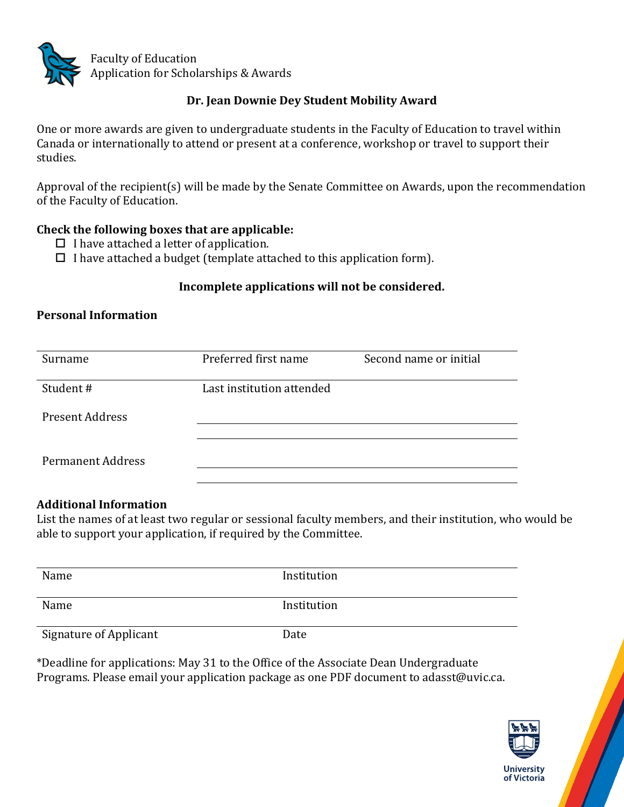

## Dr. Jean Downie Dey Student Mobility Award

One or more awards are given to undergraduate students in the Faculty of Education to travel within Canada or internationally to attend or present at a conference, workshop or travel to support their studies.

Approval of the recipient(s) will be made by the Senate Committee on Awards, upon the recommendation of the Faculty of Education.

### **Check the following boxes that are applicable:**

- $\Box$  I have attached a letter of application.
- $\Box$  I have attached a budget (template attached to this application form).

#### Incomplete applications will not be considered.

#### **Personal Information**

| Surname                  | Preferred first name      | Second name or initial |
|--------------------------|---------------------------|------------------------|
| Student#                 | Last institution attended |                        |
| <b>Present Address</b>   |                           |                        |
| <b>Permanent Address</b> |                           |                        |

## **Additional Information**

List the names of at least two regular or sessional faculty members, and their institution, who would be able to support your application, if required by the Committee.

| Name                          | Institution |
|-------------------------------|-------------|
| Name                          | Institution |
| <b>Signature of Applicant</b> | Date        |

\*Deadline for applications: May 31 to the Office of the Associate Dean Undergraduate Programs. Please email your application package as one PDF document to adasst@uvic.ca.